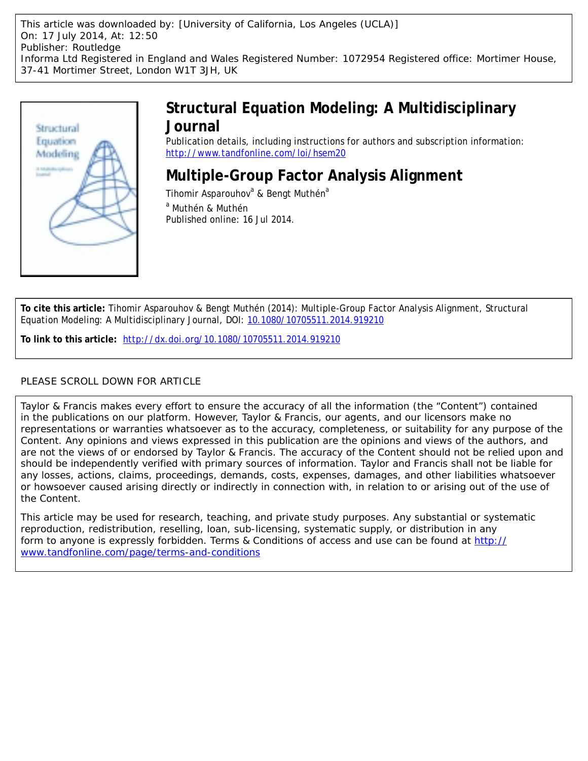This article was downloaded by: [University of California, Los Angeles (UCLA)] On: 17 July 2014, At: 12:50 Publisher: Routledge Informa Ltd Registered in England and Wales Registered Number: 1072954 Registered office: Mortimer House, 37-41 Mortimer Street, London W1T 3JH, UK



## **Structural Equation Modeling: A Multidisciplinary Journal**

Publication details, including instructions for authors and subscription information: <http://www.tandfonline.com/loi/hsem20>

# **Multiple-Group Factor Analysis Alignment**

Tihomir Asparouhov<sup>a</sup> & Bengt Muthén<sup>a</sup>

<sup>a</sup> Muthén & Muthén Published online: 16 Jul 2014.

**To cite this article:** Tihomir Asparouhov & Bengt Muthén (2014): Multiple-Group Factor Analysis Alignment, Structural Equation Modeling: A Multidisciplinary Journal, DOI: [10.1080/10705511.2014.919210](http://www.tandfonline.com/action/showCitFormats?doi=10.1080/10705511.2014.919210)

**To link to this article:** <http://dx.doi.org/10.1080/10705511.2014.919210>

### PLEASE SCROLL DOWN FOR ARTICLE

Taylor & Francis makes every effort to ensure the accuracy of all the information (the "Content") contained in the publications on our platform. However, Taylor & Francis, our agents, and our licensors make no representations or warranties whatsoever as to the accuracy, completeness, or suitability for any purpose of the Content. Any opinions and views expressed in this publication are the opinions and views of the authors, and are not the views of or endorsed by Taylor & Francis. The accuracy of the Content should not be relied upon and should be independently verified with primary sources of information. Taylor and Francis shall not be liable for any losses, actions, claims, proceedings, demands, costs, expenses, damages, and other liabilities whatsoever or howsoever caused arising directly or indirectly in connection with, in relation to or arising out of the use of the Content.

This article may be used for research, teaching, and private study purposes. Any substantial or systematic reproduction, redistribution, reselling, loan, sub-licensing, systematic supply, or distribution in any form to anyone is expressly forbidden. Terms & Conditions of access and use can be found at [http://](http://www.tandfonline.com/page/terms-and-conditions) [www.tandfonline.com/page/terms-and-conditions](http://www.tandfonline.com/page/terms-and-conditions)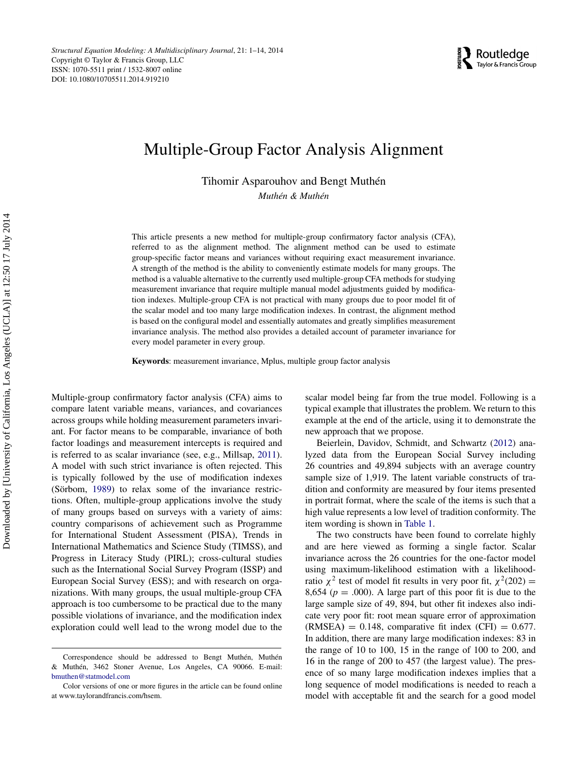

### Multiple-Group Factor Analysis Alignment

Tihomir Asparouhov and Bengt Muthén

*Muthén & Muthén*

This article presents a new method for multiple-group confirmatory factor analysis (CFA), referred to as the alignment method. The alignment method can be used to estimate group-specific factor means and variances without requiring exact measurement invariance. A strength of the method is the ability to conveniently estimate models for many groups. The method is a valuable alternative to the currently used multiple-group CFA methods for studying measurement invariance that require multiple manual model adjustments guided by modification indexes. Multiple-group CFA is not practical with many groups due to poor model fit of the scalar model and too many large modification indexes. In contrast, the alignment method is based on the configural model and essentially automates and greatly simplifies measurement invariance analysis. The method also provides a detailed account of parameter invariance for every model parameter in every group.

**Keywords**: measurement invariance, Mplus, multiple group factor analysis

Multiple-group confirmatory factor analysis (CFA) aims to compare latent variable means, variances, and covariances across groups while holding measurement parameters invariant. For factor means to be comparable, invariance of both factor loadings and measurement intercepts is required and is referred to as scalar invariance (see, e.g., Millsap, [2011\)](#page-13-0). A model with such strict invariance is often rejected. This is typically followed by the use of modification indexes (Sörbom, [1989\)](#page-13-1) to relax some of the invariance restrictions. Often, multiple-group applications involve the study of many groups based on surveys with a variety of aims: country comparisons of achievement such as Programme for International Student Assessment (PISA), Trends in International Mathematics and Science Study (TIMSS), and Progress in Literacy Study (PIRL); cross-cultural studies such as the International Social Survey Program (ISSP) and European Social Survey (ESS); and with research on organizations. With many groups, the usual multiple-group CFA approach is too cumbersome to be practical due to the many possible violations of invariance, and the modification index exploration could well lead to the wrong model due to the scalar model being far from the true model. Following is a typical example that illustrates the problem. We return to this example at the end of the article, using it to demonstrate the new approach that we propose.

Beierlein, Davidov, Schmidt, and Schwartz [\(2012\)](#page-13-2) analyzed data from the European Social Survey including 26 countries and 49,894 subjects with an average country sample size of 1,919. The latent variable constructs of tradition and conformity are measured by four items presented in portrait format, where the scale of the items is such that a high value represents a low level of tradition conformity. The item wording is shown in [Table 1.](#page-2-0)

The two constructs have been found to correlate highly and are here viewed as forming a single factor. Scalar invariance across the 26 countries for the one-factor model using maximum-likelihood estimation with a likelihoodratio  $\chi^2$  test of model fit results in very poor fit,  $\chi^2(202)$  = 8,654 ( $p = .000$ ). A large part of this poor fit is due to the large sample size of 49, 894, but other fit indexes also indicate very poor fit: root mean square error of approximation  $(RMSEA) = 0.148$ , comparative fit index  $(CFI) = 0.677$ . In addition, there are many large modification indexes: 83 in the range of 10 to 100, 15 in the range of 100 to 200, and 16 in the range of 200 to 457 (the largest value). The presence of so many large modification indexes implies that a long sequence of model modifications is needed to reach a model with acceptable fit and the search for a good model

Correspondence should be addressed to Bengt Muthén, Muthén & Muthén, 3462 Stoner Avenue, Los Angeles, CA 90066. E-mail: bmuthen@statmodel.com

Color versions of one or more figures in the article can be found online at www.taylorandfrancis.com/hsem.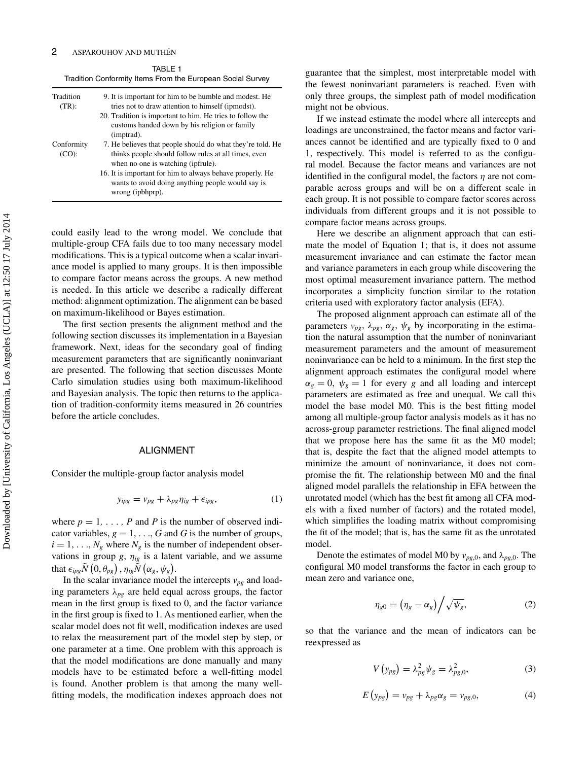| Tradition Conformity Items From the European Social Survey |                                                                                                                                                                                                                       |  |  |  |
|------------------------------------------------------------|-----------------------------------------------------------------------------------------------------------------------------------------------------------------------------------------------------------------------|--|--|--|
| Tradition<br>$(TR)$ :                                      | 9. It is important for him to be humble and modest. He<br>tries not to draw attention to himself (ipmodst).<br>20. Tradition is important to him. He tries to follow the                                              |  |  |  |
|                                                            | customs handed down by his religion or family<br>(imptrad).                                                                                                                                                           |  |  |  |
| Conformity<br>$(CO)$ :                                     | 7. He believes that people should do what they're told. He<br>thinks people should follow rules at all times, even<br>when no one is watching (ipfrule).<br>16. It is important for him to always behave properly. He |  |  |  |
|                                                            | wants to avoid doing anything people would say is<br>wrong (ipbhprp).                                                                                                                                                 |  |  |  |

TABLE 1

could easily lead to the wrong model. We conclude that multiple-group CFA fails due to too many necessary model modifications. This is a typical outcome when a scalar invariance model is applied to many groups. It is then impossible to compare factor means across the groups. A new method is needed. In this article we describe a radically different method: alignment optimization. The alignment can be based on maximum-likelihood or Bayes estimation.

The first section presents the alignment method and the following section discusses its implementation in a Bayesian framework. Next, ideas for the secondary goal of finding measurement parameters that are significantly noninvariant are presented. The following that section discusses Monte Carlo simulation studies using both maximum-likelihood and Bayesian analysis. The topic then returns to the application of tradition-conformity items measured in 26 countries before the article concludes.

#### ALIGNMENT

Consider the multiple-group factor analysis model

$$
y_{ips} = v_{pg} + \lambda_{pg} \eta_{ig} + \epsilon_{ips}, \qquad (1)
$$

where  $p = 1, \ldots, P$  and *P* is the number of observed indicator variables,  $g = 1, \ldots, G$  and *G* is the number of groups,  $i = 1, \ldots, N_g$  where  $N_g$  is the number of independent observations in group  $g$ ,  $\eta_{ig}$  is a latent variable, and we assume that  $\epsilon_{ips}\tilde{N}\left(0,\theta_{pg}\right), \eta_{ig}\tilde{N}\left(\alpha_g,\psi_g\right)$ .

In the scalar invariance model the intercepts  $v_{pg}$  and loading parameters  $\lambda_{pg}$  are held equal across groups, the factor mean in the first group is fixed to 0, and the factor variance in the first group is fixed to 1. As mentioned earlier, when the scalar model does not fit well, modification indexes are used to relax the measurement part of the model step by step, or one parameter at a time. One problem with this approach is that the model modifications are done manually and many models have to be estimated before a well-fitting model is found. Another problem is that among the many wellfitting models, the modification indexes approach does not <span id="page-2-0"></span>guarantee that the simplest, most interpretable model with the fewest noninvariant parameters is reached. Even with only three groups, the simplest path of model modification might not be obvious.

If we instead estimate the model where all intercepts and loadings are unconstrained, the factor means and factor variances cannot be identified and are typically fixed to 0 and 1, respectively. This model is referred to as the configural model. Because the factor means and variances are not identified in the configural model, the factors  $\eta$  are not comparable across groups and will be on a different scale in each group. It is not possible to compare factor scores across individuals from different groups and it is not possible to compare factor means across groups.

Here we describe an alignment approach that can estimate the model of Equation 1; that is, it does not assume measurement invariance and can estimate the factor mean and variance parameters in each group while discovering the most optimal measurement invariance pattern. The method incorporates a simplicity function similar to the rotation criteria used with exploratory factor analysis (EFA).

The proposed alignment approach can estimate all of the parameters  $v_{pg}$ ,  $\lambda_{pg}$ ,  $\alpha_g$ ,  $\psi_g$  by incorporating in the estimation the natural assumption that the number of noninvariant measurement parameters and the amount of measurement noninvariance can be held to a minimum. In the first step the alignment approach estimates the configural model where  $\alpha_g = 0$ ,  $\psi_g = 1$  for every *g* and all loading and intercept parameters are estimated as free and unequal. We call this model the base model M0. This is the best fitting model among all multiple-group factor analysis models as it has no across-group parameter restrictions. The final aligned model that we propose here has the same fit as the M0 model; that is, despite the fact that the aligned model attempts to minimize the amount of noninvariance, it does not compromise the fit. The relationship between M0 and the final aligned model parallels the relationship in EFA between the unrotated model (which has the best fit among all CFA models with a fixed number of factors) and the rotated model, which simplifies the loading matrix without compromising the fit of the model; that is, has the same fit as the unrotated model.

Denote the estimates of model M0 by  $v_{pg,0}$ , and  $\lambda_{pg,0}$ . The configural M0 model transforms the factor in each group to mean zero and variance one,

$$
\eta_{g0} = \left(\eta_g - \alpha_g\right) \bigg/ \sqrt{\psi_g},\tag{2}
$$

so that the variance and the mean of indicators can be reexpressed as

$$
V(y_{pg}) = \lambda_{pg}^2 \psi_g = \lambda_{pg,0}^2,
$$
 (3)

$$
E(y_{pg}) = v_{pg} + \lambda_{pg} \alpha_g = v_{pg,0},\tag{4}
$$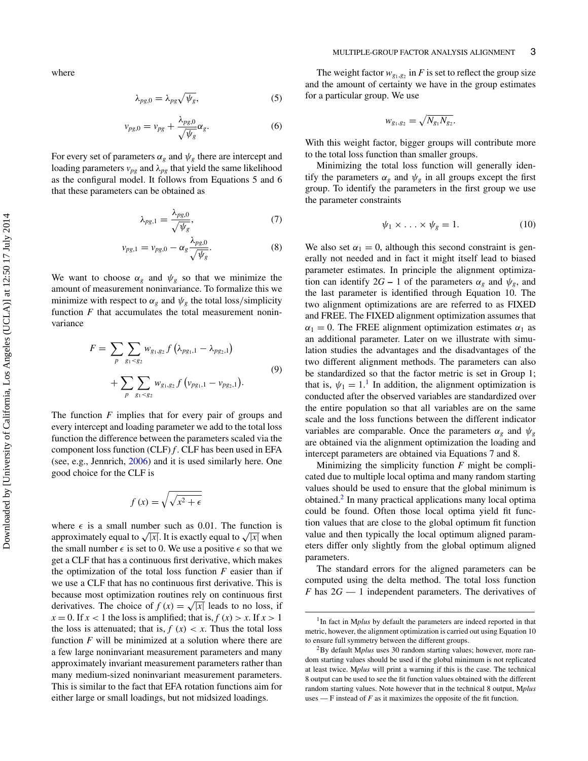$$
\lambda_{pg,0} = \lambda_{pg} \sqrt{\psi_g},\tag{5}
$$

$$
v_{pg,0} = v_{pg} + \frac{\lambda_{pg,0}}{\sqrt{\psi_g}} \alpha_g.
$$
 (6)

For every set of parameters  $\alpha_g$  and  $\psi_g$  there are intercept and loading parameters  $v_{pg}$  and  $\lambda_{pg}$  that yield the same likelihood as the configural model. It follows from Equations 5 and 6 that these parameters can be obtained as

$$
\lambda_{pg,1} = \frac{\lambda_{pg,0}}{\sqrt{\psi_g}},\tag{7}
$$

$$
v_{pg,1} = v_{pg,0} - \alpha_g \frac{\lambda_{pg,0}}{\sqrt{\psi_g}}.\tag{8}
$$

We want to choose  $\alpha_g$  and  $\psi_g$  so that we minimize the amount of measurement noninvariance. To formalize this we minimize with respect to  $\alpha_g$  and  $\psi_g$  the total loss/simplicity function  $F$  that accumulates the total measurement noninvariance

$$
F = \sum_{p} \sum_{g_1 < g_2} w_{g_1, g_2} f\left(\lambda_{pg_1, 1} - \lambda_{pg_2, 1}\right) + \sum_{p} \sum_{g_1 < g_2} w_{g_1, g_2} f\left(v_{pg_1, 1} - v_{pg_2, 1}\right). \tag{9}
$$

The function *F* implies that for every pair of groups and every intercept and loading parameter we add to the total loss function the difference between the parameters scaled via the component loss function (CLF) *f* . CLF has been used in EFA (see, e.g., Jennrich, [2006\)](#page-13-3) and it is used similarly here. One good choice for the CLF is

$$
f(x) = \sqrt{\sqrt{x^2 + \epsilon}}
$$

where  $\epsilon$  is a small number such as 0.01. The function is approximately equal to  $\sqrt{|x|}$ . It is exactly equal to  $\sqrt{|x|}$  when the small number  $\epsilon$  is set to 0. We use a positive  $\epsilon$  so that we get a CLF that has a continuous first derivative, which makes the optimization of the total loss function  $F$  easier than if we use a CLF that has no continuous first derivative. This is because most optimization routines rely on continuous first derivatives. The choice of  $f(x) = \sqrt{|x|}$  leads to no loss, if  $x = 0$ . If  $x < 1$  the loss is amplified; that is,  $f(x) > x$ . If  $x > 1$ the loss is attenuated; that is,  $f(x) < x$ . Thus the total loss function *F* will be minimized at a solution where there are a few large noninvariant measurement parameters and many approximately invariant measurement parameters rather than many medium-sized noninvariant measurement parameters. This is similar to the fact that EFA rotation functions aim for either large or small loadings, but not midsized loadings.

The weight factor  $w_{g_1,g_2}$  in *F* is set to reflect the group size and the amount of certainty we have in the group estimates for a particular group. We use

$$
w_{g_1,g_2} = \sqrt{N_{g_1} N_{g_2}}.
$$

With this weight factor, bigger groups will contribute more to the total loss function than smaller groups.

Minimizing the total loss function will generally identify the parameters  $\alpha_g$  and  $\psi_g$  in all groups except the first group. To identify the parameters in the first group we use the parameter constraints

$$
\psi_1 \times \ldots \times \psi_g = 1. \tag{10}
$$

We also set  $\alpha_1 = 0$ , although this second constraint is generally not needed and in fact it might itself lead to biased parameter estimates. In principle the alignment optimization can identify  $2G - 1$  of the parameters  $\alpha_g$  and  $\psi_g$ , and the last parameter is identified through Equation 10. The two alignment optimizations are are referred to as FIXED and FREE. The FIXED alignment optimization assumes that  $\alpha_1 = 0$ . The FREE alignment optimization estimates  $\alpha_1$  as an additional parameter. Later on we illustrate with simulation studies the advantages and the disadvantages of the two different alignment methods. The parameters can also be standardized so that the factor metric is set in Group 1; that is,  $\psi_1 = 1$  $\psi_1 = 1$  $\psi_1 = 1$ .<sup>1</sup> In addition, the alignment optimization is conducted after the observed variables are standardized over the entire population so that all variables are on the same scale and the loss functions between the different indicator variables are comparable. Once the parameters  $\alpha_g$  and  $\psi_g$ are obtained via the alignment optimization the loading and intercept parameters are obtained via Equations 7 and 8.

Minimizing the simplicity function *F* might be complicated due to multiple local optima and many random starting values should be used to ensure that the global minimum is obtained[.2](#page-3-1) In many practical applications many local optima could be found. Often those local optima yield fit function values that are close to the global optimum fit function value and then typically the local optimum aligned parameters differ only slightly from the global optimum aligned parameters.

The standard errors for the aligned parameters can be computed using the delta method. The total loss function *F* has 2*G* — 1 independent parameters. The derivatives of

<sup>&</sup>lt;sup>1</sup>In fact in M*plus* by default the parameters are indeed reported in that metric, however, the alignment optimization is carried out using Equation 10 to ensure full symmetry between the different groups.

<span id="page-3-1"></span><span id="page-3-0"></span><sup>2</sup>By default M*plus* uses 30 random starting values; however, more random starting values should be used if the global minimum is not replicated at least twice. M*plus* will print a warning if this is the case. The technical 8 output can be used to see the fit function values obtained with the different random starting values. Note however that in the technical 8 output, M*plus* uses — F instead of *F* as it maximizes the opposite of the fit function.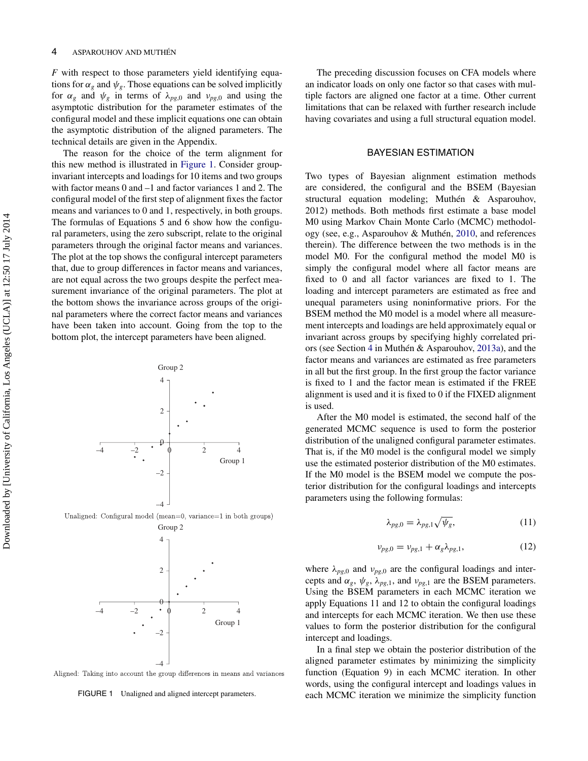*F* with respect to those parameters yield identifying equations for  $\alpha_g$  and  $\psi_g$ . Those equations can be solved implicitly for  $\alpha_g$  and  $\psi_g$  in terms of  $\lambda_{pg,0}$  and  $\nu_{pg,0}$  and using the asymptotic distribution for the parameter estimates of the configural model and these implicit equations one can obtain the asymptotic distribution of the aligned parameters. The technical details are given in the Appendix.

The reason for the choice of the term alignment for this new method is illustrated in [Figure 1.](#page-4-0) Consider groupinvariant intercepts and loadings for 10 items and two groups with factor means 0 and –1 and factor variances 1 and 2. The configural model of the first step of alignment fixes the factor means and variances to 0 and 1, respectively, in both groups. The formulas of Equations 5 and 6 show how the configural parameters, using the zero subscript, relate to the original parameters through the original factor means and variances. The plot at the top shows the configural intercept parameters that, due to group differences in factor means and variances, are not equal across the two groups despite the perfect measurement invariance of the original parameters. The plot at the bottom shows the invariance across groups of the original parameters where the correct factor means and variances have been taken into account. Going from the top to the bottom plot, the intercept parameters have been aligned.

<span id="page-4-0"></span>

Unaligned: Configural model (mean=0, variance=1 in both groups)



Aligned: Taking into account the group differences in means and variances

FIGURE 1 Unaligned and aligned intercept parameters.

The preceding discussion focuses on CFA models where an indicator loads on only one factor so that cases with multiple factors are aligned one factor at a time. Other current limitations that can be relaxed with further research include having covariates and using a full structural equation model.

#### BAYESIAN ESTIMATION

Two types of Bayesian alignment estimation methods are considered, the configural and the BSEM (Bayesian structural equation modeling; Muthén & Asparouhov, 2012) methods. Both methods first estimate a base model M0 using Markov Chain Monte Carlo (MCMC) methodology (see, e.g., Asparouhov & Muthén, [2010,](#page-13-4) and references therein). The difference between the two methods is in the model M0. For the configural method the model M0 is simply the configural model where all factor means are fixed to 0 and all factor variances are fixed to 1. The loading and intercept parameters are estimated as free and unequal parameters using noninformative priors. For the BSEM method the M0 model is a model where all measurement intercepts and loadings are held approximately equal or invariant across groups by specifying highly correlated priors (see Section [4](#page-6-0) in Muthén & Asparouhov, [2013a\)](#page-13-5), and the factor means and variances are estimated as free parameters in all but the first group. In the first group the factor variance is fixed to 1 and the factor mean is estimated if the FREE alignment is used and it is fixed to 0 if the FIXED alignment is used.

After the M0 model is estimated, the second half of the generated MCMC sequence is used to form the posterior distribution of the unaligned configural parameter estimates. That is, if the M0 model is the configural model we simply use the estimated posterior distribution of the M0 estimates. If the M0 model is the BSEM model we compute the posterior distribution for the configural loadings and intercepts parameters using the following formulas:

$$
\lambda_{pg,0} = \lambda_{pg,1} \sqrt{\psi_g},\tag{11}
$$

$$
\nu_{pg,0} = \nu_{pg,1} + \alpha_g \lambda_{pg,1},\tag{12}
$$

where  $\lambda_{pg,0}$  and  $\nu_{pg,0}$  are the configural loadings and intercepts and  $\alpha_g$ ,  $\psi_g$ ,  $\lambda_{pg,1}$ , and  $\nu_{pg,1}$  are the BSEM parameters. Using the BSEM parameters in each MCMC iteration we apply Equations 11 and 12 to obtain the configural loadings and intercepts for each MCMC iteration. We then use these values to form the posterior distribution for the configural intercept and loadings.

In a final step we obtain the posterior distribution of the aligned parameter estimates by minimizing the simplicity function (Equation 9) in each MCMC iteration. In other words, using the configural intercept and loadings values in each MCMC iteration we minimize the simplicity function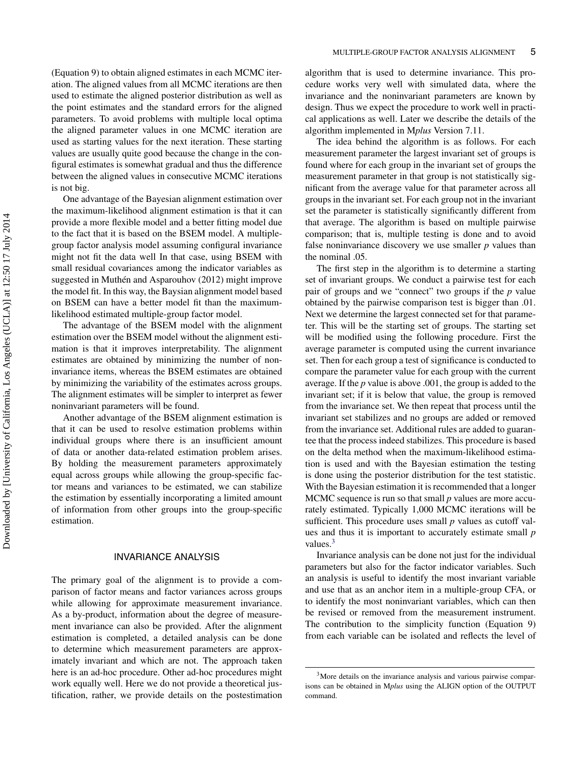(Equation 9) to obtain aligned estimates in each MCMC iteration. The aligned values from all MCMC iterations are then used to estimate the aligned posterior distribution as well as the point estimates and the standard errors for the aligned parameters. To avoid problems with multiple local optima the aligned parameter values in one MCMC iteration are used as starting values for the next iteration. These starting values are usually quite good because the change in the configural estimates is somewhat gradual and thus the difference between the aligned values in consecutive MCMC iterations is not big.

One advantage of the Bayesian alignment estimation over the maximum-likelihood alignment estimation is that it can provide a more flexible model and a better fitting model due to the fact that it is based on the BSEM model. A multiplegroup factor analysis model assuming configural invariance might not fit the data well In that case, using BSEM with small residual covariances among the indicator variables as suggested in Muthén and Asparouhov (2012) might improve the model fit. In this way, the Baysian alignment model based on BSEM can have a better model fit than the maximumlikelihood estimated multiple-group factor model.

The advantage of the BSEM model with the alignment estimation over the BSEM model without the alignment estimation is that it improves interpretability. The alignment estimates are obtained by minimizing the number of noninvariance items, whereas the BSEM estimates are obtained by minimizing the variability of the estimates across groups. The alignment estimates will be simpler to interpret as fewer noninvariant parameters will be found.

Another advantage of the BSEM alignment estimation is that it can be used to resolve estimation problems within individual groups where there is an insufficient amount of data or another data-related estimation problem arises. By holding the measurement parameters approximately equal across groups while allowing the group-specific factor means and variances to be estimated, we can stabilize the estimation by essentially incorporating a limited amount of information from other groups into the group-specific estimation.

#### INVARIANCE ANALYSIS

The primary goal of the alignment is to provide a comparison of factor means and factor variances across groups while allowing for approximate measurement invariance. As a by-product, information about the degree of measurement invariance can also be provided. After the alignment estimation is completed, a detailed analysis can be done to determine which measurement parameters are approximately invariant and which are not. The approach taken here is an ad-hoc procedure. Other ad-hoc procedures might work equally well. Here we do not provide a theoretical justification, rather, we provide details on the postestimation algorithm that is used to determine invariance. This procedure works very well with simulated data, where the invariance and the noninvariant parameters are known by design. Thus we expect the procedure to work well in practical applications as well. Later we describe the details of the algorithm implemented in M*plus* Version 7.11.

The idea behind the algorithm is as follows. For each measurement parameter the largest invariant set of groups is found where for each group in the invariant set of groups the measurement parameter in that group is not statistically significant from the average value for that parameter across all groups in the invariant set. For each group not in the invariant set the parameter is statistically significantly different from that average. The algorithm is based on multiple pairwise comparison; that is, multiple testing is done and to avoid false noninvariance discovery we use smaller *p* values than the nominal .05.

The first step in the algorithm is to determine a starting set of invariant groups. We conduct a pairwise test for each pair of groups and we "connect" two groups if the *p* value obtained by the pairwise comparison test is bigger than .01. Next we determine the largest connected set for that parameter. This will be the starting set of groups. The starting set will be modified using the following procedure. First the average parameter is computed using the current invariance set. Then for each group a test of significance is conducted to compare the parameter value for each group with the current average. If the *p* value is above .001, the group is added to the invariant set; if it is below that value, the group is removed from the invariance set. We then repeat that process until the invariant set stabilizes and no groups are added or removed from the invariance set. Additional rules are added to guarantee that the process indeed stabilizes. This procedure is based on the delta method when the maximum-likelihood estimation is used and with the Bayesian estimation the testing is done using the posterior distribution for the test statistic. With the Bayesian estimation it is recommended that a longer MCMC sequence is run so that small *p* values are more accurately estimated. Typically 1,000 MCMC iterations will be sufficient. This procedure uses small *p* values as cutoff values and thus it is important to accurately estimate small *p* values.<sup>[3](#page-5-0)</sup>

Invariance analysis can be done not just for the individual parameters but also for the factor indicator variables. Such an analysis is useful to identify the most invariant variable and use that as an anchor item in a multiple-group CFA, or to identify the most noninvariant variables, which can then be revised or removed from the measurement instrument. The contribution to the simplicity function (Equation 9) from each variable can be isolated and reflects the level of

<span id="page-5-0"></span><sup>&</sup>lt;sup>3</sup>More details on the invariance analysis and various pairwise comparisons can be obtained in M*plus* using the ALIGN option of the OUTPUT command.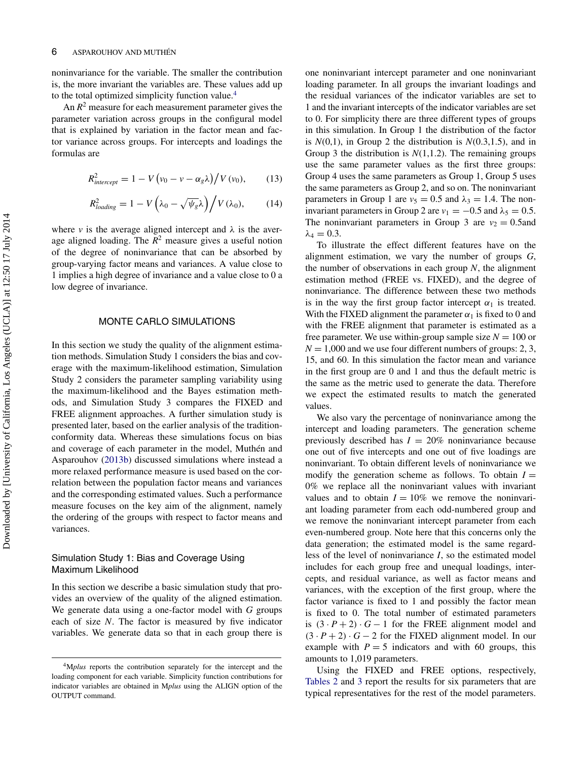noninvariance for the variable. The smaller the contribution is, the more invariant the variables are. These values add up to the total optimized simplicity function value.<sup>4</sup>

An  $R^2$  measure for each measurement parameter gives the parameter variation across groups in the configural model that is explained by variation in the factor mean and factor variance across groups. For intercepts and loadings the formulas are

$$
R_{intercept}^{2} = 1 - V(v_0 - v - \alpha_g \lambda) / V(v_0), \qquad (13)
$$

$$
R_{loading}^2 = 1 - V\left(\lambda_0 - \sqrt{\psi_g}\lambda\right) / V\left(\lambda_0\right),\tag{14}
$$

where  $\nu$  is the average aligned intercept and  $\lambda$  is the average aligned loading. The  $R^2$  measure gives a useful notion of the degree of noninvariance that can be absorbed by group-varying factor means and variances. A value close to 1 implies a high degree of invariance and a value close to 0 a low degree of invariance.

#### MONTE CARLO SIMULATIONS

In this section we study the quality of the alignment estimation methods. Simulation Study 1 considers the bias and coverage with the maximum-likelihood estimation, Simulation Study 2 considers the parameter sampling variability using the maximum-likelihood and the Bayes estimation methods, and Simulation Study 3 compares the FIXED and FREE alignment approaches. A further simulation study is presented later, based on the earlier analysis of the traditionconformity data. Whereas these simulations focus on bias and coverage of each parameter in the model, Muthén and Asparouhov [\(2013b\)](#page-13-6) discussed simulations where instead a more relaxed performance measure is used based on the correlation between the population factor means and variances and the corresponding estimated values. Such a performance measure focuses on the key aim of the alignment, namely the ordering of the groups with respect to factor means and variances.

#### Simulation Study 1: Bias and Coverage Using Maximum Likelihood

In this section we describe a basic simulation study that provides an overview of the quality of the aligned estimation. We generate data using a one-factor model with *G* groups each of size *N*. The factor is measured by five indicator variables. We generate data so that in each group there is

one noninvariant intercept parameter and one noninvariant loading parameter. In all groups the invariant loadings and the residual variances of the indicator variables are set to 1 and the invariant intercepts of the indicator variables are set to 0. For simplicity there are three different types of groups in this simulation. In Group 1 the distribution of the factor is  $N(0,1)$ , in Group 2 the distribution is  $N(0.3,1.5)$ , and in Group 3 the distribution is *N*(1,1.2). The remaining groups use the same parameter values as the first three groups: Group 4 uses the same parameters as Group 1, Group 5 uses the same parameters as Group 2, and so on. The noninvariant parameters in Group 1 are  $v_5 = 0.5$  and  $\lambda_3 = 1.4$ . The noninvariant parameters in Group 2 are  $v_1 = -0.5$  and  $\lambda_5 = 0.5$ . The noninvariant parameters in Group 3 are  $v_2 = 0.5$ and  $\lambda_4 = 0.3$ .

<span id="page-6-0"></span>To illustrate the effect different features have on the alignment estimation, we vary the number of groups *G*, the number of observations in each group  $N$ , the alignment estimation method (FREE vs. FIXED), and the degree of noninvariance. The difference between these two methods is in the way the first group factor intercept  $\alpha_1$  is treated. With the FIXED alignment the parameter  $\alpha_1$  is fixed to 0 and with the FREE alignment that parameter is estimated as a free parameter. We use within-group sample size  $N = 100$  or  $N = 1,000$  and we use four different numbers of groups: 2, 3, 15, and 60. In this simulation the factor mean and variance in the first group are 0 and 1 and thus the default metric is the same as the metric used to generate the data. Therefore we expect the estimated results to match the generated values.

We also vary the percentage of noninvariance among the intercept and loading parameters. The generation scheme previously described has  $I = 20\%$  noninvariance because one out of five intercepts and one out of five loadings are noninvariant. To obtain different levels of noninvariance we modify the generation scheme as follows. To obtain  $I =$ 0% we replace all the noninvariant values with invariant values and to obtain  $I = 10\%$  we remove the noninvariant loading parameter from each odd-numbered group and we remove the noninvariant intercept parameter from each even-numbered group. Note here that this concerns only the data generation; the estimated model is the same regardless of the level of noninvariance *I*, so the estimated model includes for each group free and unequal loadings, intercepts, and residual variance, as well as factor means and variances, with the exception of the first group, where the factor variance is fixed to 1 and possibly the factor mean is fixed to 0. The total number of estimated parameters is  $(3 \cdot P + 2) \cdot G - 1$  for the FREE alignment model and  $(3 \cdot P + 2) \cdot G - 2$  for the FIXED alignment model. In our example with  $P = 5$  indicators and with 60 groups, this amounts to 1,019 parameters.

Using the FIXED and FREE options, respectively, [Tables 2](#page-7-0) and [3](#page-7-1) report the results for six parameters that are typical representatives for the rest of the model parameters.

<span id="page-6-1"></span><sup>4</sup>M*plus* reports the contribution separately for the intercept and the loading component for each variable. Simplicity function contributions for indicator variables are obtained in M*plus* using the ALIGN option of the OUTPUT command.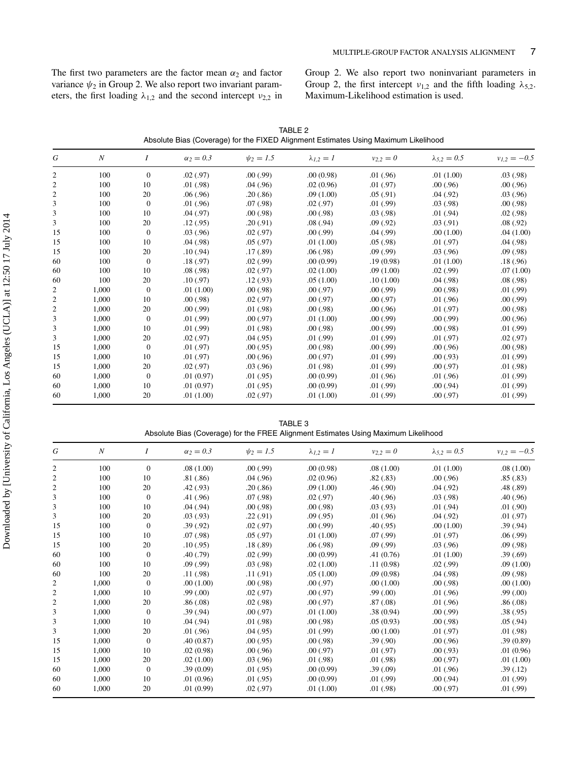The first two parameters are the factor mean  $\alpha_2$  and factor variance  $\psi_2$  in Group 2. We also report two invariant parameters, the first loading  $\lambda_{1,2}$  and the second intercept  $\nu_{2,2}$  in <span id="page-7-0"></span>Group 2. We also report two noninvariant parameters in Group 2, the first intercept  $v_{1,2}$  and the fifth loading  $\lambda_{5,2}$ . Maximum-Likelihood estimation is used.

TABLE 2 Absolute Bias (Coverage) for the FIXED Alignment Estimates Using Maximum Likelihood

| G              | $\boldsymbol{N}$ | $\boldsymbol{I}$ | $\alpha_2 = 0.3$ | $\psi_2 = 1.5$ | $\lambda_{1,2}=1$ | $v_{2,2}=0$ | $\lambda_{5,2} = 0.5$ | $v_{1,2} = -0.5$ |
|----------------|------------------|------------------|------------------|----------------|-------------------|-------------|-----------------------|------------------|
| 2              | 100              | $\overline{0}$   | .02(.97)         | .00(.99)       | .00(0.98)         | .01(0.96)   | .01(1.00)             | .03(.98)         |
| 2              | 100              | 10               | .01(0.98)        | .04(.96)       | .02(0.96)         | .01(0.97)   | .00(.96)              | .00(.96)         |
| $\overline{c}$ | 100              | 20               | .06(.96)         | .20(.86)       | .09(1.00)         | .05(.91)    | .04(.92)              | .03(.96)         |
| 3              | 100              | $\theta$         | .01(0.96)        | .07(.98)       | .02(.97)          | .01(.99)    | .03(.98)              | .00(.98)         |
| 3              | 100              | 10               | .04(.97)         | .00(0.98)      | .00(0.98)         | .03(.98)    | .01(.94)              | .02(0.98)        |
| 3              | 100              | 20               | .12(0.95)        | .20(.91)       | .08(.94)          | .09(.92)    | .03(.91)              | .08(.92)         |
| 15             | 100              | $\mathbf{0}$     | .03(.96)         | .02(.97)       | .00(.99)          | .04(.99)    | .00(1.00)             | .04(1.00)        |
| 15             | 100              | 10               | .04(.98)         | .05(.97)       | .01(1.00)         | .05(.98)    | .01(0.97)             | .04(.98)         |
| 15             | 100              | 20               | .10(0.94)        | .17(.89)       | .06(.98)          | .09(.99)    | .03(.96)              | .09(.98)         |
| 60             | 100              | $\mathbf{0}$     | .18(.97)         | .02(.99)       | .00(0.99)         | .19(0.98)   | .01(1.00)             | .18(.96)         |
| 60             | 100              | 10               | .08(.98)         | .02(.97)       | .02(1.00)         | .09(1.00)   | .02(.99)              | .07(1.00)        |
| 60             | 100              | 20               | .10(0.97)        | .12(.93)       | .05(1.00)         | .10(1.00)   | .04(.98)              | .08(.98)         |
| 2              | 1,000            | $\theta$         | .01(1.00)        | .00(0.98)      | .00(0.97)         | .00(.99)    | .00(0.98)             | .01(.99)         |
| $\overline{c}$ | 1.000            | 10               | .00(0.98)        | .02(.97)       | .00(0.97)         | .00(.97)    | .01(0.96)             | .00(.99)         |
| $\overline{c}$ | 1,000            | 20               | .00(.99)         | .01(0.98)      | .00(0.98)         | .00(0.96)   | .01(.97)              | .00(.98)         |
| 3              | 1,000            | $\mathbf{0}$     | .01(.99)         | .00(0.97)      | .01(1.00)         | .00(.99)    | .00(.99)              | .00(.96)         |
| 3              | 1,000            | 10               | .01(.99)         | .01(0.98)      | .00(.98)          | .00(.99)    | .00(0.98)             | .01(.99)         |
| 3              | 1,000            | 20               | .02(.97)         | .04(0.95)      | .01(0.99)         | .01(.99)    | .01(0.97)             | .02(.97)         |
| 15             | 1,000            | $\theta$         | .01(0.97)        | .00(0.95)      | .00(0.98)         | .00(.99)    | .00(0.96)             | .00(0.98)        |
| 15             | 1,000            | 10               | .01(0.97)        | .00(0.96)      | .00(0.97)         | .01(.99)    | .00(0.93)             | .01(.99)         |
| 15             | 1,000            | 20               | .02(.97)         | .03(.96)       | .01(0.98)         | .01(.99)    | .00(.97)              | .01(0.98)        |
| 60             | 1,000            | $\theta$         | .01(0.97)        | .01(0.95)      | .00(0.99)         | .01(.96)    | .01(0.96)             | .01(.99)         |
| 60             | 1,000            | 10               | .01(0.97)        | .01(0.95)      | .00(0.99)         | .01(.99)    | .00(.94)              | .01(.99)         |
| 60             | 1,000            | 20               | .01(1.00)        | .02(.97)       | .01(1.00)         | .01(.99)    | .00(0.97)             | .01(.99)         |

<span id="page-7-1"></span>

| TABLE 3                                                                            |  |
|------------------------------------------------------------------------------------|--|
| Absolute Bias (Coverage) for the FREE Alignment Estimates Using Maximum Likelihood |  |

| G                       | $\boldsymbol{N}$ | Ι              | $\alpha_2=0.3$ | $\psi_2 = 1.5$ | $\lambda_{I,2}=I$ | $v_{2,2}=0$ | $\lambda_{5,2} = 0.5$ | $v_{I,2} = -0.5$ |
|-------------------------|------------------|----------------|----------------|----------------|-------------------|-------------|-----------------------|------------------|
| 2                       | 100              | $\Omega$       | .08(1.00)      | .00(.99)       | .00(0.98)         | .08(1.00)   | .01(1.00)             | .08(1.00)        |
| 2                       | 100              | 10             | .81(.86)       | .04(.96)       | .02(0.96)         | .82(.83)    | .00(0.96)             | .85(.83)         |
| $\overline{c}$          | 100              | 20             | .42(.93)       | .20(.86)       | .09(1.00)         | .46(.90)    | .04(.92)              | .48(.89)         |
| 3                       | 100              | $\theta$       | .41(.96)       | .07(0.98)      | .02(.97)          | .40(.96)    | .03(.98)              | .40(.96)         |
| 3                       | 100              | 10             | .04(.94)       | .00(0.98)      | .00(0.98)         | .03(.93)    | .01(.94)              | .01(.90)         |
| 3                       | 100              | 20             | .03(.93)       | .22(.91)       | .09(0.95)         | .01(0.96)   | .04(.92)              | .01(.97)         |
| 15                      | 100              | $\Omega$       | .39(.92)       | .02(.97)       | .00(.99)          | .40(0.95)   | .00(1.00)             | .39(.94)         |
| 15                      | 100              | 10             | .07(.98)       | .05(.97)       | .01(1.00)         | .07(.99)    | .01(0.97)             | .06(.99)         |
| 15                      | 100              | 20             | .10(0.95)      | .18(.89)       | .06(.98)          | .09(.99)    | .03(.96)              | .09(0.98)        |
| 60                      | 100              | $\Omega$       | .40(.79)       | .02(.99)       | .00(0.99)         | .41(0.76)   | .01(1.00)             | .39(.69)         |
| 60                      | 100              | 10             | .09(.99)       | .03(.98)       | .02(1.00)         | .11(0.98)   | .02(.99)              | .09(1.00)        |
| 60                      | 100              | 20             | .11(.98)       | .11(.91)       | .05(1.00)         | .09(0.98)   | .04(.98)              | .09(0.98)        |
| 2                       | 1,000            | $\overline{0}$ | .00(1.00)      | .00(0.98)      | .00(0.97)         | .00(1.00)   | .00(.98)              | .00(1.00)        |
| $\overline{\mathbf{c}}$ | 1,000            | 10             | .99(0.00)      | .02(.97)       | .00(0.97)         | .99(0.00)   | .01(0.96)             | .99(0.00)        |
| $\overline{c}$          | 1,000            | 20             | .86(.08)       | .02(.98)       | .00(0.97)         | .87(.08)    | .01(0.96)             | .86(.08)         |
| 3                       | 1,000            | $\theta$       | .39(.94)       | .00(0.97)      | .01(1.00)         | .38(0.94)   | .00(.99)              | .38(.95)         |
| 3                       | 1,000            | 10             | .04(.94)       | .01(0.98)      | .00(0.98)         | .05(0.93)   | .00(0.98)             | .05(.94)         |
| 3                       | 1,000            | 20             | .01(0.96)      | .04(0.95)      | .01(.99)          | .00(1.00)   | .01(0.97)             | .01(0.98)        |
| 15                      | 1.000            | $\theta$       | .40(0.87)      | .00(0.95)      | .00(0.98)         | .39(.90)    | .00(0.96)             | .39(0.89)        |
| 15                      | 1,000            | 10             | .02(0.98)      | .00(0.96)      | .00(.97)          | .01(0.97)   | .00(.93)              | .01(0.96)        |
| 15                      | 1,000            | 20             | .02(1.00)      | .03(.96)       | .01(0.98)         | .01(0.98)   | .00(.97)              | .01(1.00)        |
| 60                      | 1,000            | $\Omega$       | .39(0.09)      | .01(0.95)      | .00(0.99)         | .39(.09)    | .01(0.96)             | .39(.12)         |
| 60                      | 1,000            | 10             | .01(0.96)      | .01(0.95)      | .00(0.99)         | .01(.99)    | .00(.94)              | .01(.99)         |
| 60                      | 1,000            | 20             | .01(0.99)      | .02(.97)       | .01(1.00)         | .01(0.98)   | .00(0.97)             | .01(0.99)        |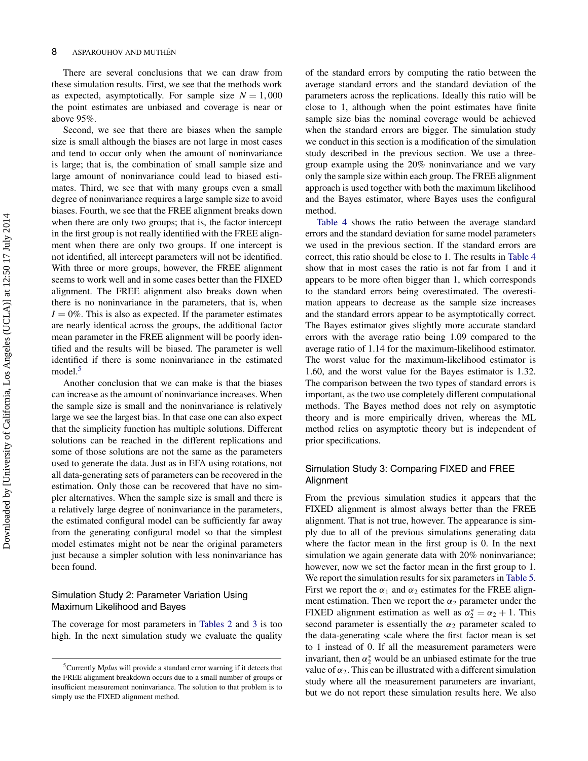There are several conclusions that we can draw from these simulation results. First, we see that the methods work as expected, asymptotically. For sample size  $N = 1,000$ the point estimates are unbiased and coverage is near or above 95%.

Second, we see that there are biases when the sample size is small although the biases are not large in most cases and tend to occur only when the amount of noninvariance is large; that is, the combination of small sample size and large amount of noninvariance could lead to biased estimates. Third, we see that with many groups even a small degree of noninvariance requires a large sample size to avoid biases. Fourth, we see that the FREE alignment breaks down when there are only two groups; that is, the factor intercept in the first group is not really identified with the FREE alignment when there are only two groups. If one intercept is not identified, all intercept parameters will not be identified. With three or more groups, however, the FREE alignment seems to work well and in some cases better than the FIXED alignment. The FREE alignment also breaks down when there is no noninvariance in the parameters, that is, when  $I = 0\%$ . This is also as expected. If the parameter estimates are nearly identical across the groups, the additional factor mean parameter in the FREE alignment will be poorly identified and the results will be biased. The parameter is well identified if there is some noninvariance in the estimated model.<sup>[5](#page-8-0)</sup>

Another conclusion that we can make is that the biases can increase as the amount of noninvariance increases. When the sample size is small and the noninvariance is relatively large we see the largest bias. In that case one can also expect that the simplicity function has multiple solutions. Different solutions can be reached in the different replications and some of those solutions are not the same as the parameters used to generate the data. Just as in EFA using rotations, not all data-generating sets of parameters can be recovered in the estimation. Only those can be recovered that have no simpler alternatives. When the sample size is small and there is a relatively large degree of noninvariance in the parameters, the estimated configural model can be sufficiently far away from the generating configural model so that the simplest model estimates might not be near the original parameters just because a simpler solution with less noninvariance has been found.

#### Simulation Study 2: Parameter Variation Using Maximum Likelihood and Bayes

The coverage for most parameters in [Tables 2](#page-7-0) and [3](#page-7-1) is too high. In the next simulation study we evaluate the quality

of the standard errors by computing the ratio between the average standard errors and the standard deviation of the parameters across the replications. Ideally this ratio will be close to 1, although when the point estimates have finite sample size bias the nominal coverage would be achieved when the standard errors are bigger. The simulation study we conduct in this section is a modification of the simulation study described in the previous section. We use a threegroup example using the 20% noninvariance and we vary only the sample size within each group. The FREE alignment approach is used together with both the maximum likelihood and the Bayes estimator, where Bayes uses the configural method.

[Table 4](#page-9-0) shows the ratio between the average standard errors and the standard deviation for same model parameters we used in the previous section. If the standard errors are correct, this ratio should be close to 1. The results in [Table 4](#page-9-0) show that in most cases the ratio is not far from 1 and it appears to be more often bigger than 1, which corresponds to the standard errors being overestimated. The overestimation appears to decrease as the sample size increases and the standard errors appear to be asymptotically correct. The Bayes estimator gives slightly more accurate standard errors with the average ratio being 1.09 compared to the average ratio of 1.14 for the maximum-likelihood estimator. The worst value for the maximum-likelihood estimator is 1.60, and the worst value for the Bayes estimator is 1.32. The comparison between the two types of standard errors is important, as the two use completely different computational methods. The Bayes method does not rely on asymptotic theory and is more empirically driven, whereas the ML method relies on asymptotic theory but is independent of prior specifications.

#### Simulation Study 3: Comparing FIXED and FREE Alignment

From the previous simulation studies it appears that the FIXED alignment is almost always better than the FREE alignment. That is not true, however. The appearance is simply due to all of the previous simulations generating data where the factor mean in the first group is 0. In the next simulation we again generate data with 20% noninvariance; however, now we set the factor mean in the first group to 1. We report the simulation results for six parameters in [Table 5.](#page-9-1) First we report the  $\alpha_1$  and  $\alpha_2$  estimates for the FREE alignment estimation. Then we report the  $\alpha_2$  parameter under the FIXED alignment estimation as well as  $\alpha_2^* = \alpha_2 + 1$ . This second parameter is essentially the  $\alpha_2$  parameter scaled to the data-generating scale where the first factor mean is set to 1 instead of 0. If all the measurement parameters were invariant, then  $\alpha_2^*$  would be an unbiased estimate for the true value of  $\alpha_2$ . This can be illustrated with a different simulation study where all the measurement parameters are invariant, but we do not report these simulation results here. We also

<span id="page-8-0"></span><sup>5</sup>Currently M*plus* will provide a standard error warning if it detects that the FREE alignment breakdown occurs due to a small number of groups or insufficient measurement noninvariance. The solution to that problem is to simply use the FIXED alignment method.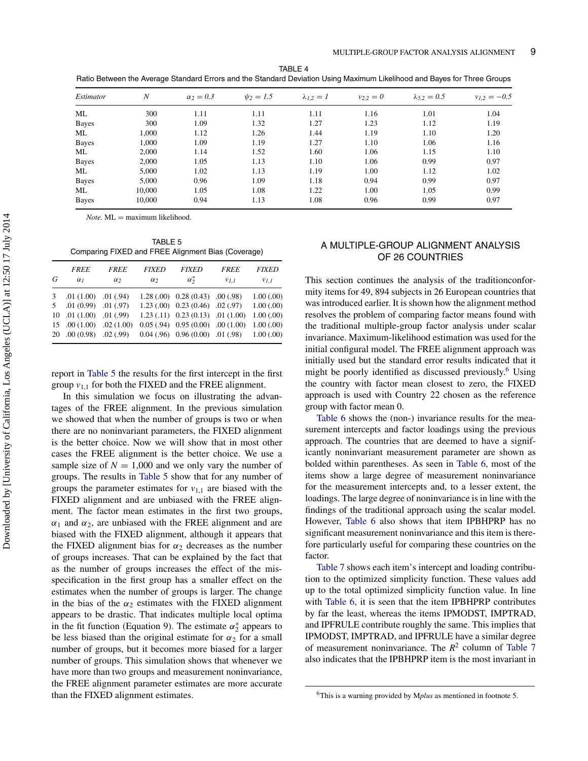| TABLE 4                                                                                                                  |  |
|--------------------------------------------------------------------------------------------------------------------------|--|
| Ratio Between the Average Standard Errors and the Standard Deviation Using Maximum Likelihood and Bayes for Three Groups |  |

| Estimator | $\boldsymbol{N}$ | $\alpha_2 = 0.3$ | $\psi_2 = 1.5$ | $\lambda_{I,2}=I$ | $v_{2,2}=0$ | $\lambda_{5,2} = 0.5$ | $v_{1,2} = -0.5$ |
|-----------|------------------|------------------|----------------|-------------------|-------------|-----------------------|------------------|
| ML        | 300              | 1.11             | 1.11           | 1.11              | 1.16        | 1.01                  | 1.04             |
| Bayes     | 300              | 1.09             | 1.32           | 1.27              | 1.23        | 1.12                  | 1.19             |
| ML        | 1.000            | 1.12             | 1.26           | 1.44              | 1.19        | 1.10                  | 1.20             |
| Bayes     | 1.000            | 1.09             | 1.19           | 1.27              | 1.10        | 1.06                  | 1.16             |
| ML        | 2,000            | 1.14             | 1.52           | 1.60              | 1.06        | 1.15                  | 1.10             |
| Bayes     | 2.000            | 1.05             | 1.13           | 1.10              | 1.06        | 0.99                  | 0.97             |
| ML        | 5.000            | 1.02             | 1.13           | 1.19              | 1.00        | 1.12                  | 1.02             |
| Bayes     | 5.000            | 0.96             | 1.09           | 1.18              | 0.94        | 0.99                  | 0.97             |
| ML        | 10.000           | 1.05             | 1.08           | 1.22              | 1.00        | 1.05                  | 0.99             |
| Bayes     | 10,000           | 0.94             | 1.13           | 1.08              | 0.96        | 0.99                  | 0.97             |

*Note.* ML = maximum likelihood.

TABLE 5 Comparing FIXED and FREE Alignment Bias (Coverage)

| G | <b>FREE</b>                                                                                                                                     | <b>FREE</b> | <b>FIXED</b> | <b>FIXED</b>                                                                                                                                                                                               | <b>FREE</b> | <b>FIXED</b>                                                  |
|---|-------------------------------------------------------------------------------------------------------------------------------------------------|-------------|--------------|------------------------------------------------------------------------------------------------------------------------------------------------------------------------------------------------------------|-------------|---------------------------------------------------------------|
|   | $\alpha$ <sub>1</sub>                                                                                                                           | $\alpha$    | $\alpha$     | $\alpha_{2}^{*}$                                                                                                                                                                                           | $v_{1.1}$   | $v_{1.1}$                                                     |
| 3 | $.01(1.00)$ $.01(94)$<br>$5$ .01 (0.99) .01 (.97)<br>$10$ .01 $(1.00)$ .01 $(.99)$<br>$15$ .00 $(1.00)$ .02 $(1.00)$<br>20 .00 (0.98) .02 (.99) |             |              | $1.28(.00)$ $0.28(0.43)$ $0.0(0.98)$<br>$1.23(0.00)$ 0.23 $(0.46)$ 0.22 $(0.97)$<br>$1.23$ (.11) $0.23$ (0.13) .01 (1.00)<br>$0.05(.94)$ $0.95(0.00)$ $0.00(1.00)$<br>$0.04(.96)$ $0.96(0.00)$ $0.01(.98)$ |             | 1.00(.00)<br>1.00(.00)<br>1.00(.00)<br>1.00(.00)<br>1.00(.00) |

report in [Table 5](#page-9-1) the results for the first intercept in the first group  $v_{1,1}$  for both the FIXED and the FREE alignment.

In this simulation we focus on illustrating the advantages of the FREE alignment. In the previous simulation we showed that when the number of groups is two or when there are no noninvariant parameters, the FIXED alignment is the better choice. Now we will show that in most other cases the FREE alignment is the better choice. We use a sample size of  $N = 1,000$  and we only vary the number of groups. The results in [Table 5](#page-9-1) show that for any number of groups the parameter estimates for  $v_{1,1}$  are biased with the FIXED alignment and are unbiased with the FREE alignment. The factor mean estimates in the first two groups,  $\alpha_1$  and  $\alpha_2$ , are unbiased with the FREE alignment and are biased with the FIXED alignment, although it appears that the FIXED alignment bias for  $\alpha_2$  decreases as the number of groups increases. That can be explained by the fact that as the number of groups increases the effect of the misspecification in the first group has a smaller effect on the estimates when the number of groups is larger. The change in the bias of the  $\alpha_2$  estimates with the FIXED alignment appears to be drastic. That indicates multiple local optima in the fit function (Equation 9). The estimate  $\alpha_2^*$  appears to be less biased than the original estimate for  $\alpha_2$  for a small number of groups, but it becomes more biased for a larger number of groups. This simulation shows that whenever we have more than two groups and measurement noninvariance, the FREE alignment parameter estimates are more accurate than the FIXED alignment estimates.

#### <span id="page-9-0"></span>A MULTIPLE-GROUP ALIGNMENT ANALYSIS OF 26 COUNTRIES

<span id="page-9-1"></span>This section continues the analysis of the traditionconformity items for 49, 894 subjects in 26 European countries that was introduced earlier. It is shown how the alignment method resolves the problem of comparing factor means found with the traditional multiple-group factor analysis under scalar invariance. Maximum-likelihood estimation was used for the initial configural model. The FREE alignment approach was initially used but the standard error results indicated that it might be poorly identified as discussed previously[.6](#page-9-2) Using the country with factor mean closest to zero, the FIXED approach is used with Country 22 chosen as the reference group with factor mean 0.

[Table 6](#page-10-0) shows the (non-) invariance results for the measurement intercepts and factor loadings using the previous approach. The countries that are deemed to have a significantly noninvariant measurement parameter are shown as bolded within parentheses. As seen in [Table 6,](#page-10-0) most of the items show a large degree of measurement noninvariance for the measurement intercepts and, to a lesser extent, the loadings. The large degree of noninvariance is in line with the findings of the traditional approach using the scalar model. However, [Table 6](#page-10-0) also shows that item IPBHPRP has no significant measurement noninvariance and this item is therefore particularly useful for comparing these countries on the factor.

[Table 7](#page-10-1) shows each item's intercept and loading contribution to the optimized simplicity function. These values add up to the total optimized simplicity function value. In line with [Table 6,](#page-10-0) it is seen that the item IPBHPRP contributes by far the least, whereas the items IPMODST, IMPTRAD, and IPFRULE contribute roughly the same. This implies that IPMODST, IMPTRAD, and IPFRULE have a similar degree of measurement noninvariance. The *R*<sup>2</sup> column of [Table 7](#page-10-1) also indicates that the IPBHPRP item is the most invariant in

<span id="page-9-2"></span><sup>6</sup>This is a warning provided by M*plus* as mentioned in footnote 5.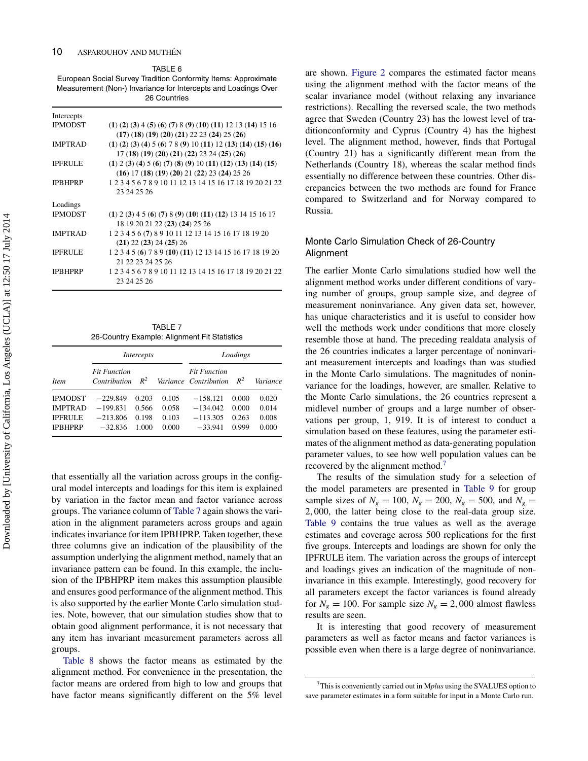European Social Survey Tradition Conformity Items: Approximate Measurement (Non-) Invariance for Intercepts and Loadings Over 26 Countries

| Intercepts     |                                                                                    |
|----------------|------------------------------------------------------------------------------------|
| <b>IPMODST</b> | $(1)$ $(2)$ $(3)$ 4 $(5)$ $(6)$ $(7)$ 8 $(9)$ $(10)$ $(11)$ 12 13 $(14)$ 15 16     |
|                | $(17)(18)(19)(20)(21)$ 22 23 (24) 25 (26)                                          |
| <b>IMPTRAD</b> | $(1)$ $(2)$ $(3)$ $(4)$ 5 $(6)$ 7 8 $(9)$ 10 $(11)$ 12 $(13)$ $(14)$ $(15)$ $(16)$ |
|                | 17(18)(19)(20)(21)(22)2324(25)(26)                                                 |
| <b>IPFRULE</b> | $(1)$ 2 (3) (4) 5 (6) (7) (8) (9) 10 (11) (12) (13) (14) (15)                      |
|                | $(16) 17 (18) (19) (20) 21 (22) 23 (24) 25 26$                                     |
| <b>IPBHPRP</b> | 1 2 3 4 5 6 7 8 9 10 11 12 13 14 15 16 17 18 19 20 21 22                           |
|                | 23 24 25 26                                                                        |
| Loadings       |                                                                                    |
| <b>IPMODST</b> | $(1)$ 2 $(3)$ 4 5 $(6)$ $(7)$ 8 $(9)$ $(10)$ $(11)$ $(12)$ 13 14 15 16 17          |
|                | 18 19 20 21 22 (23) (24) 25 26                                                     |
| <b>IMPTRAD</b> | 1 2 3 4 5 6 (7) 8 9 10 11 12 13 14 15 16 17 18 19 20                               |
|                | $(21)$ 22 $(23)$ 24 $(25)$ 26                                                      |
| <b>IPFRULE</b> | 1 2 3 4 5 (6) 7 8 9 (10) (11) 12 13 14 15 16 17 18 19 20                           |
|                | 21 22 23 24 25 26                                                                  |
| <b>IPBHPRP</b> | 1 2 3 4 5 6 7 8 9 10 11 12 13 14 15 16 17 18 19 20 21 22                           |
|                | 23 24 25 26                                                                        |
|                |                                                                                    |

TABLE 7 26-Country Example: Alignment Fit Statistics

|                |                                     | Intercepts |       | Loadings                                     |       |          |
|----------------|-------------------------------------|------------|-------|----------------------------------------------|-------|----------|
| <i>Item</i>    | <b>Fit Function</b><br>Contribution | $R^2$      |       | <b>Fit Function</b><br>Variance Contribution | $R^2$ | Variance |
| <b>IPMODST</b> | $-229.849$                          | 0.203      | 0.105 | $-158.121$                                   | 0.000 | 0.020    |
| <b>IMPTRAD</b> | $-199.831$                          | 0.566      | 0.058 | $-134.042$                                   | 0.000 | 0.014    |
| <b>IPFRULE</b> | $-213.806$                          | 0.198      | 0.103 | $-113.305$                                   | 0.263 | 0.008    |
| <b>IPRHPRP</b> | $-32.836$                           | 1.000      | 0.000 | $-33.941$                                    | 0.999 | 0.000    |

that essentially all the variation across groups in the configural model intercepts and loadings for this item is explained by variation in the factor mean and factor variance across groups. The variance column of [Table 7](#page-10-1) again shows the variation in the alignment parameters across groups and again indicates invariance for item IPBHPRP. Taken together, these three columns give an indication of the plausibility of the assumption underlying the alignment method, namely that an invariance pattern can be found. In this example, the inclusion of the IPBHPRP item makes this assumption plausible and ensures good performance of the alignment method. This is also supported by the earlier Monte Carlo simulation studies. Note, however, that our simulation studies show that to obtain good alignment performance, it is not necessary that any item has invariant measurement parameters across all groups.

[Table 8](#page-11-0) shows the factor means as estimated by the alignment method. For convenience in the presentation, the factor means are ordered from high to low and groups that have factor means significantly different on the 5% level

<span id="page-10-0"></span>are shown. [Figure 2](#page-11-1) compares the estimated factor means using the alignment method with the factor means of the scalar invariance model (without relaxing any invariance restrictions). Recalling the reversed scale, the two methods agree that Sweden (Country 23) has the lowest level of traditionconformity and Cyprus (Country 4) has the highest level. The alignment method, however, finds that Portugal (Country 21) has a significantly different mean from the Netherlands (Country 18), whereas the scalar method finds essentially no difference between these countries. Other discrepancies between the two methods are found for France compared to Switzerland and for Norway compared to Russia.

#### Monte Carlo Simulation Check of 26-Country Alignment

<span id="page-10-1"></span>The earlier Monte Carlo simulations studied how well the alignment method works under different conditions of varying number of groups, group sample size, and degree of measurement noninvariance. Any given data set, however, has unique characteristics and it is useful to consider how well the methods work under conditions that more closely resemble those at hand. The preceding realdata analysis of the 26 countries indicates a larger percentage of noninvariant measurement intercepts and loadings than was studied in the Monte Carlo simulations. The magnitudes of noninvariance for the loadings, however, are smaller. Relative to the Monte Carlo simulations, the 26 countries represent a midlevel number of groups and a large number of observations per group, 1, 919. It is of interest to conduct a simulation based on these features, using the parameter estimates of the alignment method as data-generating population parameter values, to see how well population values can be recovered by the alignment method.<sup>[7](#page-10-2)</sup>

The results of the simulation study for a selection of the model parameters are presented in [Table 9](#page-12-0) for group sample sizes of  $N_g = 100$ ,  $N_g = 200$ ,  $N_g = 500$ , and  $N_g =$ 2, 000, the latter being close to the real-data group size. [Table 9](#page-12-0) contains the true values as well as the average estimates and coverage across 500 replications for the first five groups. Intercepts and loadings are shown for only the IPFRULE item. The variation across the groups of intercept and loadings gives an indication of the magnitude of noninvariance in this example. Interestingly, good recovery for all parameters except the factor variances is found already for  $N_g = 100$ . For sample size  $N_g = 2,000$  almost flawless results are seen.

It is interesting that good recovery of measurement parameters as well as factor means and factor variances is possible even when there is a large degree of noninvariance.

<span id="page-10-2"></span><sup>7</sup>This is conveniently carried out in M*plus* using the SVALUES option to save parameter estimates in a form suitable for input in a Monte Carlo run.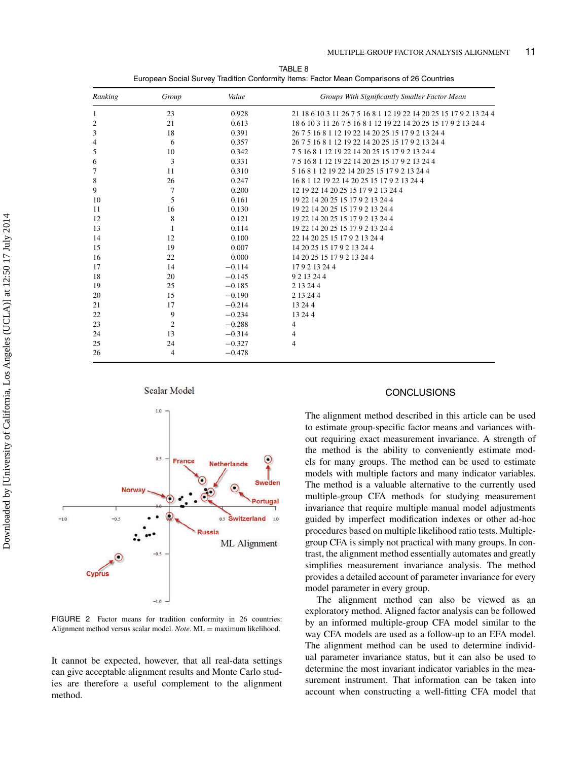|                                                                                            | TABLE 8 |  |
|--------------------------------------------------------------------------------------------|---------|--|
| European Social Survey Tradition Conformity Items: Factor Mean Comparisons of 26 Countries |         |  |

| Ranking        | Group          | Value    | Groups With Significantly Smaller Factor Mean                     |
|----------------|----------------|----------|-------------------------------------------------------------------|
| 1              | 23             | 0.928    | 21 18 6 10 3 11 26 7 5 16 8 1 12 19 22 14 20 25 15 17 9 2 13 24 4 |
| $\overline{c}$ | 21             | 0.613    | 18 6 10 3 11 26 7 5 16 8 1 12 19 22 14 20 25 15 17 9 2 13 24 4    |
| 3              | 18             | 0.391    | 26 7 5 16 8 1 12 19 22 14 20 25 15 17 9 2 13 24 4                 |
| 4              | 6              | 0.357    | 26 7 5 16 8 1 12 19 22 14 20 25 15 17 9 2 13 24 4                 |
| 5              | 10             | 0.342    | 7 5 16 8 1 12 19 22 14 20 25 15 17 9 2 13 24 4                    |
| 6              | 3              | 0.331    | 7 5 16 8 1 12 19 22 14 20 25 15 17 9 2 13 24 4                    |
| 7              | 11             | 0.310    | 5 16 8 1 12 19 22 14 20 25 15 17 9 2 13 24 4                      |
| 8              | 26             | 0.247    | 16 8 1 12 19 22 14 20 25 15 17 9 2 13 24 4                        |
| 9              | 7              | 0.200    | 12 19 22 14 20 25 15 17 9 2 13 24 4                               |
| 10             | 5              | 0.161    | 19 22 14 20 25 15 17 9 2 13 24 4                                  |
| 11             | 16             | 0.130    | 19 22 14 20 25 15 17 9 2 13 24 4                                  |
| 12             | 8              | 0.121    | 19 22 14 20 25 15 17 9 2 13 24 4                                  |
| 13             | 1              | 0.114    | 19 22 14 20 25 15 17 9 2 13 24 4                                  |
| 14             | 12             | 0.100    | 22 14 20 25 15 17 9 2 13 24 4                                     |
| 15             | 19             | 0.007    | 14 20 25 15 17 9 2 13 24 4                                        |
| 16             | 22             | 0.000    | 14 20 25 15 17 9 2 13 24 4                                        |
| 17             | 14             | $-0.114$ | 179213244                                                         |
| 18             | 20             | $-0.145$ | 9 2 13 24 4                                                       |
| 19             | 25             | $-0.185$ | 2 13 24 4                                                         |
| 20             | 15             | $-0.190$ | 2 13 24 4                                                         |
| 21             | 17             | $-0.214$ | 13 24 4                                                           |
| 22             | 9              | $-0.234$ | 13 24 4                                                           |
| 23             | $\overline{2}$ | $-0.288$ | $\overline{4}$                                                    |
| 24             | 13             | $-0.314$ | 4                                                                 |
| 25             | 24             | $-0.327$ | $\overline{4}$                                                    |
| 26             | 4              | $-0.478$ |                                                                   |

<span id="page-11-1"></span>

FIGURE 2 Factor means for tradition conformity in 26 countries: Alignment method versus scalar model. *Note*. ML = maximum likelihood.

It cannot be expected, however, that all real-data settings can give acceptable alignment results and Monte Carlo studies are therefore a useful complement to the alignment method.

#### <span id="page-11-0"></span>**CONCLUSIONS**

The alignment method described in this article can be used to estimate group-specific factor means and variances without requiring exact measurement invariance. A strength of the method is the ability to conveniently estimate models for many groups. The method can be used to estimate models with multiple factors and many indicator variables. The method is a valuable alternative to the currently used multiple-group CFA methods for studying measurement invariance that require multiple manual model adjustments guided by imperfect modification indexes or other ad-hoc procedures based on multiple likelihood ratio tests. Multiplegroup CFA is simply not practical with many groups. In contrast, the alignment method essentially automates and greatly simplifies measurement invariance analysis. The method provides a detailed account of parameter invariance for every model parameter in every group.

The alignment method can also be viewed as an exploratory method. Aligned factor analysis can be followed by an informed multiple-group CFA model similar to the way CFA models are used as a follow-up to an EFA model. The alignment method can be used to determine individual parameter invariance status, but it can also be used to determine the most invariant indicator variables in the measurement instrument. That information can be taken into account when constructing a well-fitting CFA model that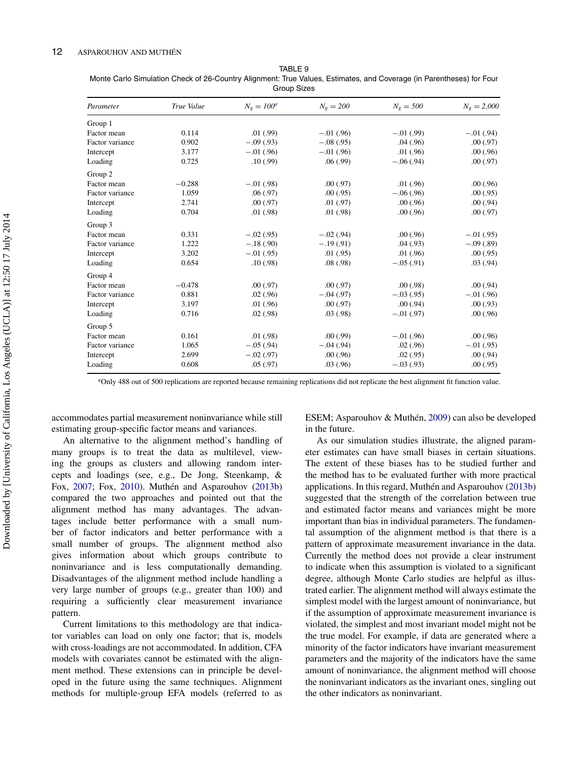Group 5

| Group Sizes     |            |               |                   |             |               |  |  |
|-----------------|------------|---------------|-------------------|-------------|---------------|--|--|
| Parameter       | True Value | $N_g = 100^a$ | $N_{\rm g} = 200$ | $N_g = 500$ | $N_g = 2,000$ |  |  |
| Group 1         |            |               |                   |             |               |  |  |
| Factor mean     | 0.114      | .01(0.99)     | $-.01(.96)$       | $-.01(.99)$ | $-.01(.94)$   |  |  |
| Factor variance | 0.902      | $-.09(.93)$   | $-.08(.95)$       | .04(.96)    | .00(0.97)     |  |  |
| Intercept       | 3.177      | $-.01(.96)$   | $-.01(.96)$       | .01(0.96)   | .00(0.96)     |  |  |
| Loading         | 0.725      | .10(0.99)     | .06(.99)          | $-.06(.94)$ | .00(0.97)     |  |  |
| Group 2         |            |               |                   |             |               |  |  |
| Factor mean     | $-0.288$   | $-.01(.98)$   | .00(0.97)         | .01(0.96)   | .00(0.96)     |  |  |
| Factor variance | 1.059      | .06(.97)      | .00(0.95)         | $-.06(.96)$ | .00(0.95)     |  |  |
| Intercept       | 2.741      | .00(0.97)     | .01(0.97)         | .00(.96)    | .00(0.94)     |  |  |
| Loading         | 0.704      | .01(0.98)     | .01(0.98)         | .00(0.96)   | .00(0.97)     |  |  |
| Group 3         |            |               |                   |             |               |  |  |
| Factor mean     | 0.331      | $-.02(.95)$   | $-.02(.94)$       | .00(0.96)   | $-.01(.95)$   |  |  |
| Factor variance | 1.222      | $-.18(.90)$   | $-.19(.91)$       | .04(.93)    | $-.09(.89)$   |  |  |
| Intercept       | 3.202      | $-.01(.95)$   | .01(0.95)         | .01(0.96)   | .00(0.95)     |  |  |
| Loading         | 0.654      | .10(0.98)     | .08(.98)          | $-.05(.91)$ | .03(.94)      |  |  |
| Group 4         |            |               |                   |             |               |  |  |
| Factor mean     | $-0.478$   | .00(0.97)     | .00(0.97)         | .00(0.98)   | .00(0.94)     |  |  |
| Factor variance | 0.881      | .02(0.96)     | $-.04(.97)$       | $-.03(.95)$ | $-.01(.96)$   |  |  |

<span id="page-12-0"></span>TABLE 9 Monte Carlo Simulation Check of 26-Country Alignment: True Values, Estimates, and Coverage (in Parentheses) for Four Group Sizes

<sup>a</sup>Only 488 out of 500 replications are reported because remaining replications did not replicate the best alignment fit function value.

Intercept 3.197 .00 (.96) .00 .09 .00 .097 .00 .097 .00 .097 .00 .097 .00 .094 Loading 0.716 .02 (.98) .03 (.98) .03 (.98) .03 (.98) .03 (.98)

Factor mean **0.161** .01 (.98) .00 .09 .00 .09 .00 .09 .00 .09 .00 .09 .00 .09 .00 .09 .00 .09 .00 .09 .00 .09 .00 .09 .00 .09 .00 .09 .00 .09 .00 .09 .00 .09 .00 .09 .00 .09 .00 .09 .00 .09 .00 .09 .00 .09 .00 .09 .00 .09 Factor variance  $1.065$   $-0.05$  (.94)  $-0.04$  (.94)  $02$  (.96)  $-01$  (.95) Intercept 2.699 −.02 (.97) .00 (.96) .02 (.95) .00 (.94) Loading 0.608 .05 (.97) .03 (.96) -.03 (.93) .00 (.95)

accommodates partial measurement noninvariance while still estimating group-specific factor means and variances.

An alternative to the alignment method's handling of many groups is to treat the data as multilevel, viewing the groups as clusters and allowing random intercepts and loadings (see, e.g., De Jong, Steenkamp, & Fox, [2007;](#page-13-7) Fox, [2010\)](#page-13-8). Muthén and Asparouhov [\(2013b\)](#page-13-6) compared the two approaches and pointed out that the alignment method has many advantages. The advantages include better performance with a small number of factor indicators and better performance with a small number of groups. The alignment method also gives information about which groups contribute to noninvariance and is less computationally demanding. Disadvantages of the alignment method include handling a very large number of groups (e.g., greater than 100) and requiring a sufficiently clear measurement invariance pattern.

Current limitations to this methodology are that indicator variables can load on only one factor; that is, models with cross-loadings are not accommodated. In addition, CFA models with covariates cannot be estimated with the alignment method. These extensions can in principle be developed in the future using the same techniques. Alignment methods for multiple-group EFA models (referred to as ESEM; Asparouhov & Muthén, [2009\)](#page-13-9) can also be developed in the future.

As our simulation studies illustrate, the aligned parameter estimates can have small biases in certain situations. The extent of these biases has to be studied further and the method has to be evaluated further with more practical applications. In this regard, Muthén and Asparouhov [\(2013b\)](#page-13-6) suggested that the strength of the correlation between true and estimated factor means and variances might be more important than bias in individual parameters. The fundamental assumption of the alignment method is that there is a pattern of approximate measurement invariance in the data. Currently the method does not provide a clear instrument to indicate when this assumption is violated to a significant degree, although Monte Carlo studies are helpful as illustrated earlier. The alignment method will always estimate the simplest model with the largest amount of noninvariance, but if the assumption of approximate measurement invariance is violated, the simplest and most invariant model might not be the true model. For example, if data are generated where a minority of the factor indicators have invariant measurement parameters and the majority of the indicators have the same amount of noninvariance, the alignment method will choose the noninvariant indicators as the invariant ones, singling out the other indicators as noninvariant.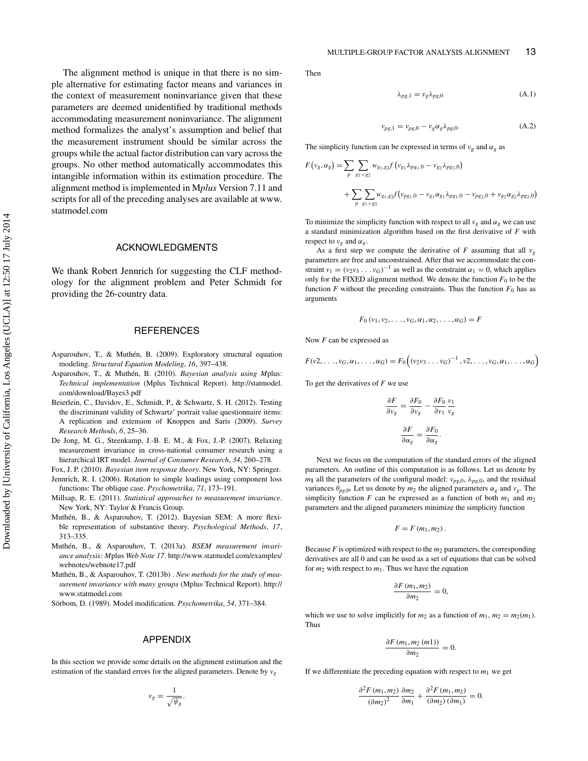The alignment method is unique in that there is no simple alternative for estimating factor means and variances in the context of measurement noninvariance given that these parameters are deemed unidentified by traditional methods accommodating measurement noninvariance. The alignment method formalizes the analyst's assumption and belief that the measurement instrument should be similar across the groups while the actual factor distribution can vary across the groups. No other method automatically accommodates this intangible information within its estimation procedure. The alignment method is implemented in M*plus* Version 7.11 and scripts for all of the preceding analyses are available at www. statmodel.com

#### ACKNOWLEDGMENTS

We thank Robert Jennrich for suggesting the CLF methodology for the alignment problem and Peter Schmidt for providing the 26-country data.

#### **REFERENCES**

- <span id="page-13-9"></span>Asparouhov, T., & Muthén, B. (2009). Exploratory structural equation modeling. *Structural Equation Modeling*, *16*, 397–438.
- <span id="page-13-4"></span>Asparouhov, T., & Muthén, B. (2010). *Bayesian analysis using M*plus: *Technical implementation* (Mplus Technical Report). http://statmodel. com/download/Bayes3.pdf
- <span id="page-13-2"></span>Beierlein, C., Davidov, E., Schmidt, P., & Schwartz, S. H. (2012). Testing the discriminant validity of Schwartz' portrait value questionnaire items: A replication and extension of Knoppen and Saris (2009). *Survey Research Methods*, *6*, 25–36.
- <span id="page-13-7"></span>De Jong, M. G., Steenkamp, J.-B. E. M., & Fox, J.-P. (2007). Relaxing measurement invariance in cross-national consumer research using a hierarchical IRT model. *Journal of Consumer Research*, *34*, 260–278.
- <span id="page-13-8"></span>Fox, J. P. (2010). *Bayesian item response theory*. New York, NY: Springer.
- <span id="page-13-3"></span>Jennrich, R. I. (2006). Rotation to simple loadings using component loss functions: The oblique case. *Psychometrika*, *71*, 173–191.
- <span id="page-13-0"></span>Millsap, R. E. (2011). *Statistical approaches to measurement invariance*. New York, NY: Taylor & Francis Group.
- Muthén, B., & Asparouhov, T. (2012). Bayesian SEM: A more flexible representation of substantive theory. *Psychological Methods*, *17*, 313–335.
- <span id="page-13-5"></span>Muthén, B., & Asparouhov, T. (2013a). *BSEM measurement invariance analysis: M*plus *Web Note 17*. http://www.statmodel.com/examples/ webnotes/webnote17.pdf
- <span id="page-13-6"></span>Muthén, B., & Asparouhov, T. (2013b) . *New methods for the study of measurement invariance with many groups* (Mplus Technical Report). http:// www.statmodel.com
- <span id="page-13-1"></span>Sörbom, D. (1989). Model modification. *Psychometrika*, *54*, 371–384.

#### APPENDIX

In this section we provide some details on the alignment estimation and the estimation of the standard errors for the aligned parameters. Denote by  $v_g$ 

$$
v_g = \frac{1}{\sqrt{\psi_g}}.
$$

Then

$$
\lambda_{pg,1} = v_g \lambda_{pg,0} \tag{A.1}
$$

$$
v_{pg,1} = v_{pg,0} - v_g \alpha_g \lambda_{pg,0}.\tag{A.2}
$$

The simplicity function can be expressed in terms of  $v_g$  and  $\alpha_g$  as

$$
F(v_g, \alpha_g) = \sum_{p} \sum_{g_1 < g_2} w_{g_1, g_2} f(v_{g_1} \lambda_{pg_1, 0} - v_{g_2} \lambda_{pg_2, 0})
$$
\n
$$
+ \sum_{p} \sum_{g_1 < g_2} w_{g_1, g_2} f(v_{pg_1, 0} - v_{g_1} \alpha_{g_1} \lambda_{pg_1, 0} - v_{pg_2, 0} + v_{g_2} \alpha_{g_2} \lambda_{pg_2, 0})
$$

To minimize the simplicity function with respect to all  $v_g$  and  $\alpha_g$  we can use a standard minimization algorithm based on the first derivative of *F* with respect to  $v_g$  and  $\alpha_g$ .

As a first step we compute the derivative of *F* assuming that all  $v_g$ parameters are free and unconstrained. After that we accommodate the constraint  $v_1 = (v_2v_3 \dots v_G)^{-1}$  as well as the constraint  $\alpha_1 = 0$ , which applies only for the FIXED alignment method. We denote the function  $F_0$  to be the function  $F$  without the preceding constraints. Thus the function  $F_0$  has as arguments

$$
F_0(v_1, v_2, \ldots, v_G, \alpha_1, \alpha_2, \ldots, \alpha_G) = F
$$

Now *F* can be expressed as

$$
F(v2,\ldots,v_G,\alpha_1,\ldots,\alpha_G)=F_0((v_2v_3\ldots v_G)^{-1},v2,\ldots,v_G,\alpha_1,\ldots,\alpha_G)
$$

To get the derivatives of *F* we use

$$
\frac{\partial F}{\partial v_g} = \frac{\partial F_0}{\partial v_g} - \frac{\partial F_0}{\partial v_1} \frac{v_1}{v_g}
$$

$$
\frac{\partial F}{\partial \alpha_g} = \frac{\partial F_0}{\partial \alpha_g}.
$$

Next we focus on the computation of the standard errors of the aligned parameters. An outline of this computation is as follows. Let us denote by  $m_1$  all the parameters of the configural model:  $v_{pg,0}$ ,  $\lambda_{pg,0}$ , and the residual variances  $\theta_{pg,0}$ . Let us denote by  $m_2$  the aligned parameters  $\alpha_g$  and  $v_g$ . The simplicity function *F* can be expressed as a function of both  $m_1$  and  $m_2$ parameters and the aligned parameters minimize the simplicity function

$$
F=F(m_1,m_2).
$$

Because  $F$  is optimized with respect to the  $m_2$  parameters, the corresponding derivatives are all 0 and can be used as a set of equations that can be solved for  $m_2$  with respect to  $m_1$ . Thus we have the equation

$$
\frac{\partial F(m_1, m_2)}{\partial m_2} = 0,
$$

which we use to solve implicitly for  $m_2$  as a function of  $m_1$ ,  $m_2 = m_2(m_1)$ . Thus

$$
\frac{\partial F(m_1, m_2(m1))}{\partial m_2} = 0.
$$

If we differentiate the preceding equation with respect to  $m_1$  we get

$$
\frac{\partial^2 F(m_1, m_2)}{(\partial m_2)^2} \frac{\partial m_2}{\partial m_1} + \frac{\partial^2 F(m_1, m_2)}{(\partial m_2) (\partial m_1)} = 0.
$$